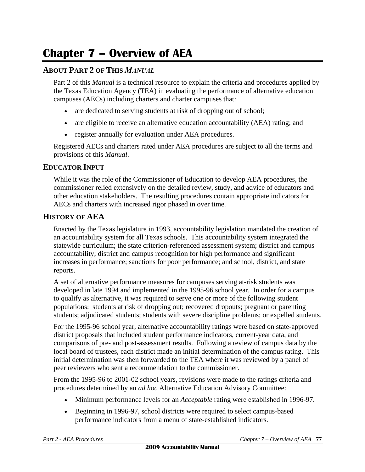# **Chapter 7 – Overview of AEA**

## **ABOUT PART 2 OF THIS** *MANUAL*

Part 2 of this *Manual* is a technical resource to explain the criteria and procedures applied by the Texas Education Agency (TEA) in evaluating the performance of alternative education campuses (AECs) including charters and charter campuses that:

- are dedicated to serving students at risk of dropping out of school;
- are eligible to receive an alternative education accountability (AEA) rating; and
- register annually for evaluation under AEA procedures.

Registered AECs and charters rated under AEA procedures are subject to all the terms and provisions of this *Manual*.

#### **EDUCATOR INPUT**

While it was the role of the Commissioner of Education to develop AEA procedures, the commissioner relied extensively on the detailed review, study, and advice of educators and other education stakeholders. The resulting procedures contain appropriate indicators for AECs and charters with increased rigor phased in over time.

#### **HISTORY OF AEA**

Enacted by the Texas legislature in 1993, accountability legislation mandated the creation of an accountability system for all Texas schools. This accountability system integrated the statewide curriculum; the state criterion-referenced assessment system; district and campus accountability; district and campus recognition for high performance and significant increases in performance; sanctions for poor performance; and school, district, and state reports.

A set of alternative performance measures for campuses serving at-risk students was developed in late 1994 and implemented in the 1995-96 school year. In order for a campus to qualify as alternative, it was required to serve one or more of the following student populations: students at risk of dropping out; recovered dropouts; pregnant or parenting students; adjudicated students; students with severe discipline problems; or expelled students.

For the 1995-96 school year, alternative accountability ratings were based on state-approved district proposals that included student performance indicators, current-year data, and comparisons of pre- and post-assessment results. Following a review of campus data by the local board of trustees, each district made an initial determination of the campus rating. This initial determination was then forwarded to the TEA where it was reviewed by a panel of peer reviewers who sent a recommendation to the commissioner.

From the 1995-96 to 2001-02 school years, revisions were made to the ratings criteria and procedures determined by an *ad hoc* Alternative Education Advisory Committee:

- Minimum performance levels for an *Acceptable* rating were established in 1996-97.
- Beginning in 1996-97, school districts were required to select campus-based performance indicators from a menu of state-established indicators.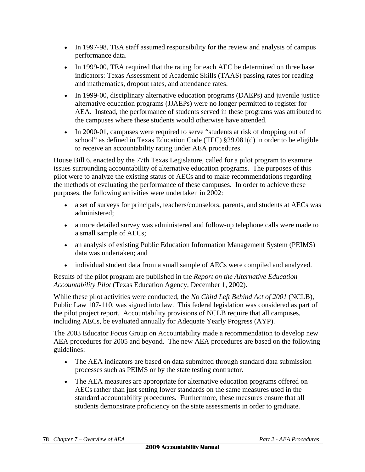- In 1997-98, TEA staff assumed responsibility for the review and analysis of campus performance data.
- In 1999-00, TEA required that the rating for each AEC be determined on three base indicators: Texas Assessment of Academic Skills (TAAS) passing rates for reading and mathematics, dropout rates, and attendance rates.
- In 1999-00, disciplinary alternative education programs (DAEPs) and juvenile justice alternative education programs (JJAEPs) were no longer permitted to register for AEA. Instead, the performance of students served in these programs was attributed to the campuses where these students would otherwise have attended.
- In 2000-01, campuses were required to serve "students at risk of dropping out of school" as defined in Texas Education Code (TEC) §29.081(d) in order to be eligible to receive an accountability rating under AEA procedures.

House Bill 6, enacted by the 77th Texas Legislature, called for a pilot program to examine issues surrounding accountability of alternative education programs. The purposes of this pilot were to analyze the existing status of AECs and to make recommendations regarding the methods of evaluating the performance of these campuses. In order to achieve these purposes, the following activities were undertaken in 2002:

- a set of surveys for principals, teachers/counselors, parents, and students at AECs was administered;
- a more detailed survey was administered and follow-up telephone calls were made to a small sample of AECs;
- an analysis of existing Public Education Information Management System (PEIMS) data was undertaken; and
- individual student data from a small sample of AECs were compiled and analyzed.

Results of the pilot program are published in the *Report on the Alternative Education Accountability Pilot* (Texas Education Agency, December 1, 2002).

While these pilot activities were conducted, the *No Child Left Behind Act of 2001* (NCLB), Public Law 107-110, was signed into law. This federal legislation was considered as part of the pilot project report. Accountability provisions of NCLB require that all campuses, including AECs, be evaluated annually for Adequate Yearly Progress (AYP).

The 2003 Educator Focus Group on Accountability made a recommendation to develop new AEA procedures for 2005 and beyond. The new AEA procedures are based on the following guidelines:

- The AEA indicators are based on data submitted through standard data submission processes such as PEIMS or by the state testing contractor.
- The AEA measures are appropriate for alternative education programs offered on AECs rather than just setting lower standards on the same measures used in the standard accountability procedures. Furthermore, these measures ensure that all students demonstrate proficiency on the state assessments in order to graduate.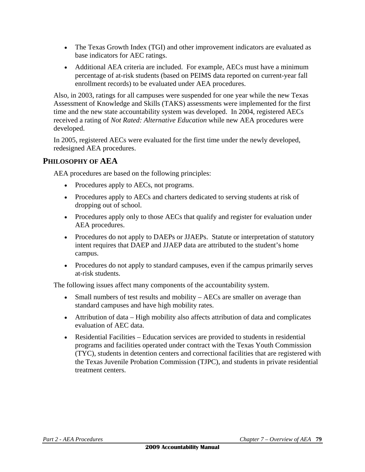- The Texas Growth Index (TGI) and other improvement indicators are evaluated as base indicators for AEC ratings.
- Additional AEA criteria are included. For example, AECs must have a minimum percentage of at-risk students (based on PEIMS data reported on current-year fall enrollment records) to be evaluated under AEA procedures.

Also, in 2003, ratings for all campuses were suspended for one year while the new Texas Assessment of Knowledge and Skills (TAKS) assessments were implemented for the first time and the new state accountability system was developed. In 2004, registered AECs received a rating of *Not Rated: Alternative Education* while new AEA procedures were developed.

In 2005, registered AECs were evaluated for the first time under the newly developed, redesigned AEA procedures.

## **PHILOSOPHY OF AEA**

AEA procedures are based on the following principles:

- Procedures apply to AECs, not programs.
- Procedures apply to AECs and charters dedicated to serving students at risk of dropping out of school.
- Procedures apply only to those AECs that qualify and register for evaluation under AEA procedures.
- Procedures do not apply to DAEPs or JJAEPs. Statute or interpretation of statutory intent requires that DAEP and JJAEP data are attributed to the student's home campus.
- Procedures do not apply to standard campuses, even if the campus primarily serves at-risk students.

The following issues affect many components of the accountability system.

- Small numbers of test results and mobility AECs are smaller on average than standard campuses and have high mobility rates.
- Attribution of data High mobility also affects attribution of data and complicates evaluation of AEC data.
- Residential Facilities Education services are provided to students in residential programs and facilities operated under contract with the Texas Youth Commission (TYC), students in detention centers and correctional facilities that are registered with the Texas Juvenile Probation Commission (TJPC), and students in private residential treatment centers.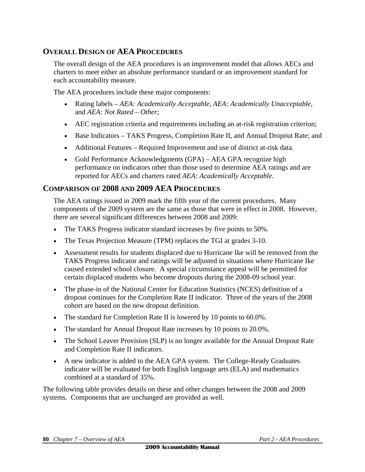# **OVERALL DESIGN OF AEA PROCEDURES**

The overall design of the AEA procedures is an improvement model that allows AECs and charters to meet either an absolute performance standard or an improvement standard for each accountability measure.

The AEA procedures include these major components:

- Rating labels *AEA: Academically Acceptable, AEA: Academically Unacceptable,*  and *AEA: Not Rated – Other;*
- AEC registration criteria and requirements including an at-risk registration criterion;
- Base Indicators TAKS Progress, Completion Rate II, and Annual Dropout Rate; and
- Additional Features Required Improvement and use of district at-risk data.
- Gold Performance Acknowledgments (GPA) AEA GPA recognize high performance on indicators other than those used to determine AEA ratings and are reported for AECs and charters rated *AEA: Academically Acceptable.*

## **COMPARISON OF 2008 AND 2009 AEA PROCEDURES**

The AEA ratings issued in 2009 mark the fifth year of the current procedures. Many components of the 2009 system are the same as those that were in effect in 2008. However, there are several significant differences between 2008 and 2009:

- The TAKS Progress indicator standard increases by five points to 50%*.*
- The Texas Projection Measure (TPM) replaces the TGI at grades 3-10.
- Assessment results for students displaced due to Hurricane Ike will be removed from the TAKS Progress indicator and ratings will be adjusted in situations where Hurricane Ike caused extended school closure. A special circumstance appeal will be permitted for certain displaced students who become dropouts during the 2008-09 school year.
- The phase-in of the National Center for Education Statistics (NCES) definition of a dropout continues for the Completion Rate II indicator. Three of the years of the 2008 cohort are based on the new dropout definition.
- The standard for Completion Rate II is lowered by 10 points to 60.0%.
- The standard for Annual Dropout Rate increases by 10 points to 20.0%.
- The School Leaver Provision (SLP) is no longer available for the Annual Dropout Rate and Completion Rate II indicators.
- A new indicator is added to the AEA GPA system. The College-Ready Graduates indicator will be evaluated for both English language arts (ELA) and mathematics combined at a standard of 35%.

The following table provides details on these and other changes between the 2008 and 2009 systems. Components that are unchanged are provided as well.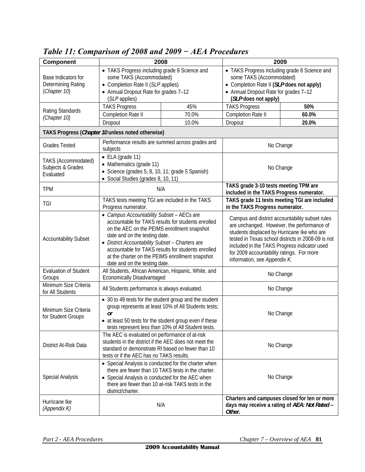| Component                                                 | 2008                                                                                                                                                                                                                                                                                                                                                                         |       | 2009                                                                                                                                                                                                                                                                                                                            |       |  |
|-----------------------------------------------------------|------------------------------------------------------------------------------------------------------------------------------------------------------------------------------------------------------------------------------------------------------------------------------------------------------------------------------------------------------------------------------|-------|---------------------------------------------------------------------------------------------------------------------------------------------------------------------------------------------------------------------------------------------------------------------------------------------------------------------------------|-------|--|
| Base Indicators for<br>Determining Rating<br>(Chapter 10) | • TAKS Progress including grade 8 Science and<br>some TAKS (Accommodated)<br>• Completion Rate II (SLP applies)<br>• Annual Dropout Rate for grades 7-12<br>(SLP applies)                                                                                                                                                                                                    |       | • TAKS Progress including grade 8 Science and<br>some TAKS (Accommodated)<br>• Completion Rate II (SLP does not apply)<br>• Annual Dropout Rate for grades 7-12<br>(SLP does not apply)                                                                                                                                         |       |  |
| Rating Standards<br>(Chapter 10)                          | <b>TAKS Progress</b>                                                                                                                                                                                                                                                                                                                                                         | 45%   | <b>TAKS Progress</b>                                                                                                                                                                                                                                                                                                            | 50%   |  |
|                                                           | Completion Rate II                                                                                                                                                                                                                                                                                                                                                           | 70.0% | Completion Rate II                                                                                                                                                                                                                                                                                                              | 60.0% |  |
|                                                           | Dropout                                                                                                                                                                                                                                                                                                                                                                      | 10.0% | Dropout                                                                                                                                                                                                                                                                                                                         | 20.0% |  |
| TAKS Progress (Chapter 10 unless noted otherwise)         |                                                                                                                                                                                                                                                                                                                                                                              |       |                                                                                                                                                                                                                                                                                                                                 |       |  |
| <b>Grades Tested</b>                                      | Performance results are summed across grades and<br>subjects                                                                                                                                                                                                                                                                                                                 |       | No Change                                                                                                                                                                                                                                                                                                                       |       |  |
| TAKS (Accommodated)<br>Subjects & Grades<br>Evaluated     | $\bullet$ ELA (grade 11)<br>• Mathematics (grade 11)<br>• Science (grades 5, 8, 10, 11; grade 5 Spanish)<br>• Social Studies (grades 8, 10, 11)                                                                                                                                                                                                                              |       | No Change                                                                                                                                                                                                                                                                                                                       |       |  |
| <b>TPM</b>                                                | N/A                                                                                                                                                                                                                                                                                                                                                                          |       | TAKS grade 3-10 tests meeting TPM are<br>included in the TAKS Progress numerator.                                                                                                                                                                                                                                               |       |  |
| TGI                                                       | TAKS tests meeting TGI are included in the TAKS<br>Progress numerator.                                                                                                                                                                                                                                                                                                       |       | TAKS grade 11 tests meeting TGI are included<br>in the TAKS Progress numerator.                                                                                                                                                                                                                                                 |       |  |
| <b>Accountability Subset</b>                              | • Campus Accountability Subset - AECs are<br>accountable for TAKS results for students enrolled<br>on the AEC on the PEIMS enrollment snapshot<br>date and on the testing date.<br>• District Accountability Subset - Charters are<br>accountable for TAKS results for students enrolled<br>at the charter on the PEIMS enrollment snapshot<br>date and on the testing date. |       | Campus and district accountability subset rules<br>are unchanged. However, the performance of<br>students displaced by Hurricane Ike who are<br>tested in Texas school districts in 2008-09 is not<br>included in the TAKS Progress indicator used<br>for 2009 accountability ratings. For more<br>information, see Appendix K. |       |  |
| <b>Evaluation of Student</b><br>Groups                    | All Students, African American, Hispanic, White, and<br><b>Economically Disadvantaged</b>                                                                                                                                                                                                                                                                                    |       | No Change                                                                                                                                                                                                                                                                                                                       |       |  |
| Minimum Size Criteria<br>for All Students                 | All Students performance is always evaluated.                                                                                                                                                                                                                                                                                                                                |       | No Change                                                                                                                                                                                                                                                                                                                       |       |  |
| Minimum Size Criteria<br>for Student Groups               | • 30 to 49 tests for the student group and the student<br>group represents at least 10% of All Students tests;<br>or<br>• at least 50 tests for the student group even if these<br>tests represent less than 10% of All Student tests.                                                                                                                                       |       | No Change                                                                                                                                                                                                                                                                                                                       |       |  |
| District At-Risk Data                                     | The AEC is evaluated on performance of at-risk<br>students in the district if the AEC does not meet the<br>standard or demonstrate RI based on fewer than 10<br>tests or if the AEC has no TAKS results.                                                                                                                                                                     |       | No Change                                                                                                                                                                                                                                                                                                                       |       |  |
| <b>Special Analysis</b>                                   | • Special Analysis is conducted for the charter when<br>there are fewer than 10 TAKS tests in the charter.<br>• Special Analysis is conducted for the AEC when<br>there are fewer than 10 at-risk TAKS tests in the<br>district/charter.                                                                                                                                     |       | No Change                                                                                                                                                                                                                                                                                                                       |       |  |
| Hurricane Ike<br>(Appendix K)                             | N/A                                                                                                                                                                                                                                                                                                                                                                          |       | Charters and campuses closed for ten or more<br>days may receive a rating of AEA: Not Rated -<br>Other.                                                                                                                                                                                                                         |       |  |

*Table 11: Comparison of 2008 and 2009 − AEA Procedures*